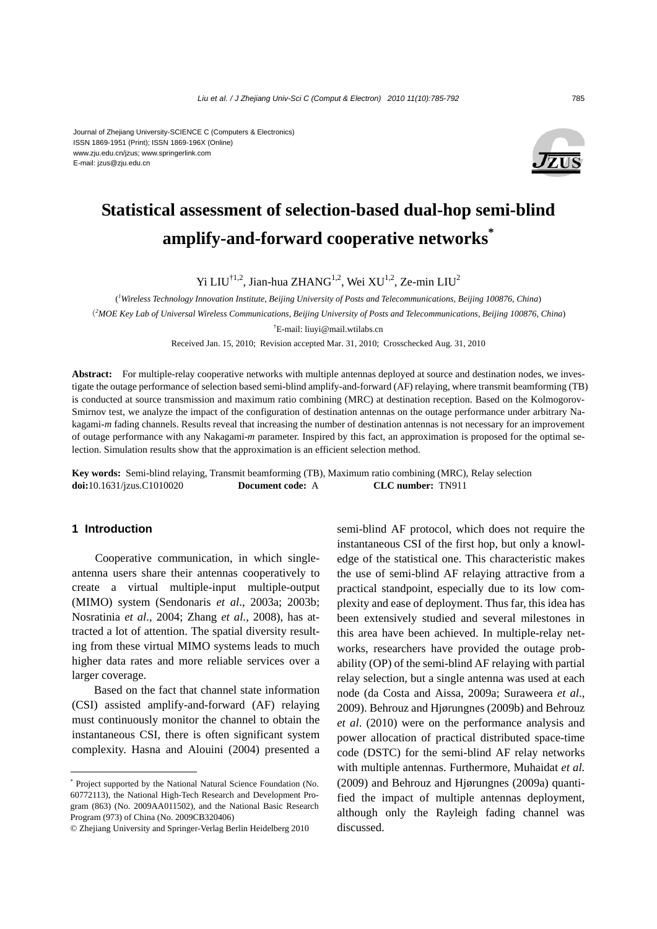#### Journal of Zhejiang University-SCIENCE C (Computers & Electronics) ISSN 1869-1951 (Print); ISSN 1869-196X (Online) www.zju.edu.cn/jzus; www.springerlink.com E-mail: jzus@zju.edu.cn



# **Statistical assessment of selection-based dual-hop semi-blind amplify-and-forward cooperative networks\***

Yi LIU<sup>†1,2</sup>, Jian-hua ZHANG<sup>1,2</sup>, Wei XU<sup>1,2</sup>, Ze-min LIU<sup>2</sup>

( *1 Wireless Technology Innovation Institute, Beijing University of Posts and Telecommunications, Beijing 100876, China*)

(*2 MOE Key Lab of Universal Wireless Communications, Beijing University of Posts and Telecommunications, Beijing 100876, China*)

† E-mail: liuyi@mail.wtilabs.cn

Received Jan. 15, 2010; Revision accepted Mar. 31, 2010; Crosschecked Aug. 31, 2010

**Abstract:** For multiple-relay cooperative networks with multiple antennas deployed at source and destination nodes, we investigate the outage performance of selection based semi-blind amplify-and-forward (AF) relaying, where transmit beamforming (TB) is conducted at source transmission and maximum ratio combining (MRC) at destination reception. Based on the Kolmogorov-Smirnov test, we analyze the impact of the configuration of destination antennas on the outage performance under arbitrary Nakagami-*m* fading channels. Results reveal that increasing the number of destination antennas is not necessary for an improvement of outage performance with any Nakagami-*m* parameter. Inspired by this fact, an approximation is proposed for the optimal selection. Simulation results show that the approximation is an efficient selection method.

**Key words:** Semi-blind relaying, Transmit beamforming (TB), Maximum ratio combining (MRC), Relay selection **doi:**10.1631/jzus.C1010020 **Document code:** A **CLC number:** TN911

#### **1 Introduction**

Cooperative communication, in which singleantenna users share their antennas cooperatively to create a virtual multiple-input multiple-output (MIMO) system (Sendonaris *et al*., 2003a; 2003b; Nosratinia *et al*., 2004; Zhang *et al.*, 2008), has attracted a lot of attention. The spatial diversity resulting from these virtual MIMO systems leads to much higher data rates and more reliable services over a larger coverage.

Based on the fact that channel state information (CSI) assisted amplify-and-forward (AF) relaying must continuously monitor the channel to obtain the instantaneous CSI, there is often significant system complexity. Hasna and Alouini (2004) presented a semi-blind AF protocol, which does not require the instantaneous CSI of the first hop, but only a knowledge of the statistical one. This characteristic makes the use of semi-blind AF relaying attractive from a practical standpoint, especially due to its low complexity and ease of deployment. Thus far, this idea has been extensively studied and several milestones in this area have been achieved. In multiple-relay networks, researchers have provided the outage probability (OP) of the semi-blind AF relaying with partial relay selection, but a single antenna was used at each node (da Costa and Aissa, 2009a; Suraweera *et al*., 2009). Behrouz and Hjørungnes (2009b) and Behrouz *et al*. (2010) were on the performance analysis and power allocation of practical distributed space-time code (DSTC) for the semi-blind AF relay networks with multiple antennas. Furthermore, Muhaidat *et al.* (2009) and Behrouz and Hjørungnes (2009a) quantified the impact of multiple antennas deployment, although only the Rayleigh fading channel was discussed.

<sup>\*</sup> Project supported by the National Natural Science Foundation (No. 60772113), the National High-Tech Research and Development Program (863) (No. 2009AA011502), and the National Basic Research Program (973) of China (No. 2009CB320406)

<sup>©</sup> Zhejiang University and Springer-Verlag Berlin Heidelberg 2010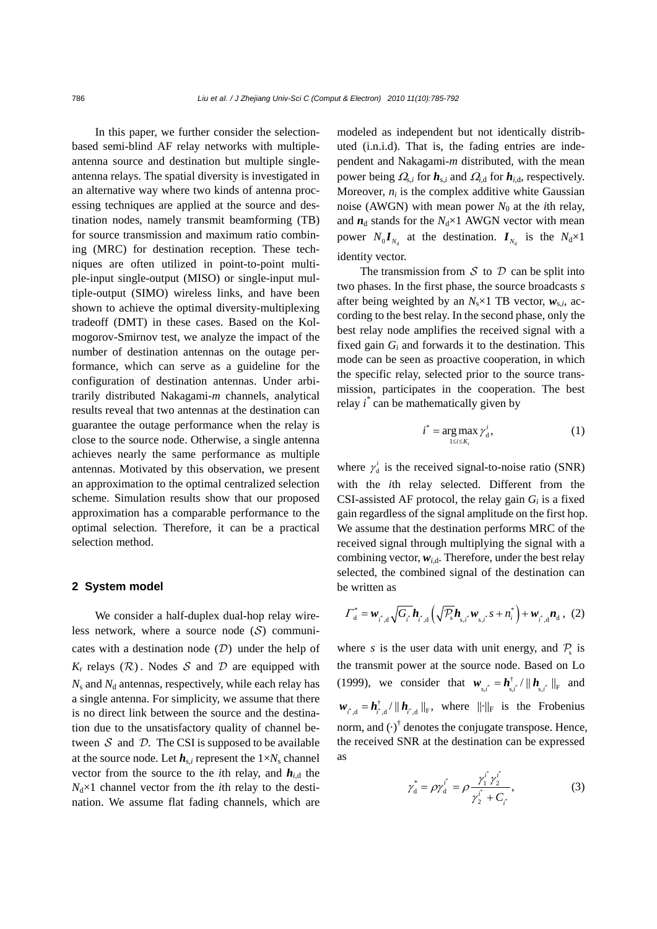In this paper, we further consider the selectionbased semi-blind AF relay networks with multipleantenna source and destination but multiple singleantenna relays. The spatial diversity is investigated in an alternative way where two kinds of antenna processing techniques are applied at the source and destination nodes, namely transmit beamforming (TB) for source transmission and maximum ratio combining (MRC) for destination reception. These techniques are often utilized in point-to-point multiple-input single-output (MISO) or single-input multiple-output (SIMO) wireless links, and have been shown to achieve the optimal diversity-multiplexing tradeoff (DMT) in these cases. Based on the Kolmogorov-Smirnov test, we analyze the impact of the number of destination antennas on the outage performance, which can serve as a guideline for the configuration of destination antennas. Under arbitrarily distributed Nakagami-*m* channels, analytical results reveal that two antennas at the destination can guarantee the outage performance when the relay is close to the source node. Otherwise, a single antenna achieves nearly the same performance as multiple antennas. Motivated by this observation, we present an approximation to the optimal centralized selection scheme. Simulation results show that our proposed approximation has a comparable performance to the optimal selection. Therefore, it can be a practical selection method.

#### **2 System model**

We consider a half-duplex dual-hop relay wireless network, where a source node  $(S)$  communicates with a destination node  $(D)$  under the help of  $K_r$  relays ( $\mathcal{R}$ ). Nodes  $\mathcal S$  and  $\mathcal D$  are equipped with  $N_s$  and  $N_d$  antennas, respectively, while each relay has a single antenna. For simplicity, we assume that there is no direct link between the source and the destination due to the unsatisfactory quality of channel between  $S$  and  $D$ . The CSI is supposed to be available at the source node. Let  $h_{s,i}$  represent the  $1 \times N_s$  channel vector from the source to the *i*th relay, and  $h_{i,d}$  the  $N_d \times 1$  channel vector from the *i*th relay to the destination. We assume flat fading channels, which are modeled as independent but not identically distributed (i.n.i.d). That is, the fading entries are independent and Nakagami-*m* distributed, with the mean power being  $\Omega_{s,i}$  for  $h_{s,i}$  and  $\Omega_{i,d}$  for  $h_{i,d}$ , respectively. Moreover,  $n_i$  is the complex additive white Gaussian noise (AWGN) with mean power  $N_0$  at the *i*th relay, and  $n_d$  stands for the  $N_d \times 1$  AWGN vector with mean power  $N_0 I_{N_1}$  at the destination.  $I_{N_1}$  is the  $N_d \times 1$ identity vector.

The transmission from  $S$  to  $D$  can be split into two phases. In the first phase, the source broadcasts *s* after being weighted by an  $N_s \times 1$  TB vector,  $w_{s,i}$ , according to the best relay. In the second phase, only the best relay node amplifies the received signal with a fixed gain *Gi* and forwards it to the destination. This mode can be seen as proactive cooperation, in which the specific relay, selected prior to the source transmission, participates in the cooperation. The best relay *i \** can be mathematically given by

$$
i^* = \underset{1 \le i \le K_r}{\arg \max} \gamma_d^i,\tag{1}
$$

where  $\gamma_d^i$  is the received signal-to-noise ratio (SNR) with the *i*th relay selected. Different from the CSI-assisted AF protocol, the relay gain  $G_i$  is a fixed gain regardless of the signal amplitude on the first hop. We assume that the destination performs MRC of the received signal through multiplying the signal with a combining vector,  $w_{i,d}$ . Therefore, under the best relay selected, the combined signal of the destination can be written as

$$
\Gamma_{\rm d}^* = \mathbf{w}_{i^*, \rm d} \sqrt{G_{i^*}} \mathbf{h}_{i^*, \rm d} \left( \sqrt{\mathcal{P}_{\rm s}} \mathbf{h}_{\rm s, i^*} \mathbf{w}_{\rm s, i^*} s + n_i^* \right) + \mathbf{w}_{i^*, \rm d} \mathbf{n}_{\rm d} \,, \tag{2}
$$

where *s* is the user data with unit energy, and  $P_s$  is the transmit power at the source node. Based on Lo (1999), we consider that  $w_{s,i^*} = h_{s,i^*}^{\dagger}/\|h_{s,i^*}^{\dagger}\|_{\text{F}}$  and  $\mathbf{w}_{i^*,d} = \mathbf{h}_{i^*,d}^{\dagger} / || \mathbf{h}_{i^*,d} ||_{F}$ , where  $|| \cdot ||_F$  is the Frobenius norm, and  $(\cdot)^{\dagger}$  denotes the conjugate transpose. Hence, the received SNR at the destination can be expressed as

$$
\gamma_{\rm d}^* = \rho \gamma_{\rm d}^{i^*} = \rho \frac{\gamma_1^{i^*} \gamma_2^{i^*}}{\gamma_2^{i^*} + C_{i^*}},\tag{3}
$$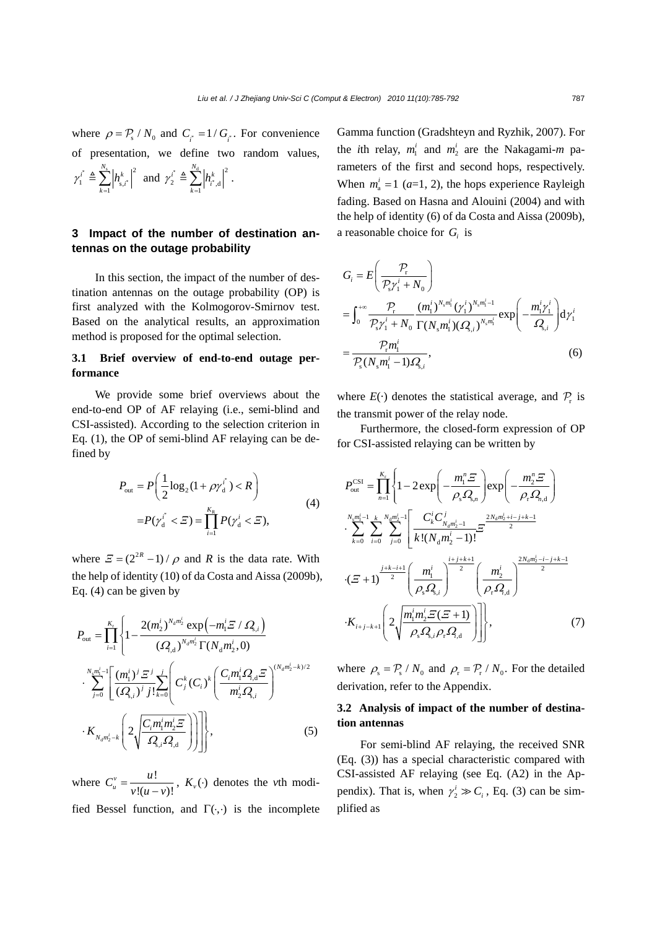where  $\rho = P_s / N_0$  and  $C_s = 1/G_s$ . For convenience of presentation, we define two random values,  $22.22$ *N N*

$$
\gamma_1^{i^*} \triangleq \sum_{k=1}^{N_s} \left| h_{s,i^*}^k \right|^2
$$
 and  $\gamma_2^{i^*} \triangleq \sum_{k=1}^{N_d} \left| h_{i^*,d}^k \right|^2$ .

# **3 Impact of the number of destination antennas on the outage probability**

In this section, the impact of the number of destination antennas on the outage probability (OP) is first analyzed with the Kolmogorov-Smirnov test. Based on the analytical results, an approximation method is proposed for the optimal selection.

#### **3.1 Brief overview of end-to-end outage performance**

We provide some brief overviews about the end-to-end OP of AF relaying (i.e., semi-blind and CSI-assisted). According to the selection criterion in Eq. (1), the OP of semi-blind AF relaying can be defined by

$$
P_{\text{out}} = P\left(\frac{1}{2}\log_2(1+\rho\gamma_d^{i^*}) < R\right)
$$
\n
$$
= P(\gamma_d^{i^*} < \Xi) = \prod_{i=1}^{K_R} P(\gamma_d^{i} < \Xi), \tag{4}
$$

where  $\mathcal{Z} = (2^{2R} - 1) / \rho$  and *R* is the data rate. With the help of identity (10) of da Costa and Aissa (2009b), Eq. (4) can be given by

$$
P_{\text{out}} = \prod_{i=1}^{K_{\text{r}}} \left\{ 1 - \frac{2(m_2^i)^{N_a m_2^i} \exp\left(-m_1^i \Sigma / \Omega_{\text{s},i}\right)}{(Q_{\text{r},d})^{N_a m_2^i} \Gamma(N_a m_2^i, 0)} \right\}
$$

$$
\cdot \sum_{j=0}^{N_{\text{s}} m_1^i - 1} \left[ \frac{(m_1^i)^j \Sigma^j}{(Q_{\text{s},i})^j j!} \sum_{k=0}^j \left( C_j^k (C_i)^k \left( \frac{C_i m_1^i Q_{\text{r},d} \Sigma}{m_2^i Q_{\text{s},i}} \right)^{(N_a m_2^i - k)/2} \right. \right.
$$

$$
\cdot K_{N_a m_2^i - k} \left( 2 \sqrt{\frac{C_i m_1^i m_2^i \Sigma}{Q_{\text{s},i}^i Q_{\text{r},d}}} \right) \right] \bigg\}, \tag{5}
$$

where  $C_u^v = \frac{u!}{\sqrt{2\pi}}$  $!(u - v)!$  $C_u^v = \frac{u!}{v!(u-v)!}$ ,  $K_v(\cdot)$  denotes the *v*th modified Bessel function, and  $\Gamma(\cdot, \cdot)$  is the incomplete Gamma function (Gradshteyn and Ryzhik, 2007). For the *i*th relay,  $m_1^i$  and  $m_2^i$  are the Nakagami-*m* parameters of the first and second hops, respectively. When  $m_a^i = 1$  ( $a=1, 2$ ), the hops experience Rayleigh fading. Based on Hasna and Alouini (2004) and with the help of identity (6) of da Costa and Aissa (2009b), a reasonable choice for *Gi* is

$$
G_{i} = E\left(\frac{P_{r}}{P_{s} \gamma_{1}^{i} + N_{0}}\right)
$$
  
= 
$$
\int_{0}^{+\infty} \frac{P_{r}}{P_{s} \gamma_{1}^{i} + N_{0}} \frac{(m_{1}^{i})^{N_{s} m_{1}^{i}} (\gamma_{1}^{i})^{N_{s} m_{1}^{i} - 1}}{\Gamma(N_{s} m_{1}^{i}) (Q_{s,i})^{N_{s} m_{1}^{i}}} \exp\left(-\frac{m_{1}^{i} \gamma_{1}^{i}}{Q_{s,i}}\right) d\gamma_{1}^{i}
$$
  
= 
$$
\frac{P_{r} m_{1}^{i}}{P_{s} (N_{s} m_{1}^{i} - 1) Q_{s,i}},
$$
(6)

where  $E(\cdot)$  denotes the statistical average, and  $P_r$  is the transmit power of the relay node.

Furthermore, the closed-form expression of OP for CSI-assisted relaying can be written by

$$
P_{\text{out}}^{\text{CSI}} = \prod_{n=1}^{K_{\text{r}}} \left\{ 1 - 2 \exp\left( -\frac{m_{1}^{n} \Xi}{\rho_{\text{s}} \Omega_{\text{s},n}} \right) \exp\left( -\frac{m_{2}^{n} \Xi}{\rho_{\text{r}} \Omega_{n,\text{d}}} \right) \right\}
$$

$$
\cdot \sum_{k=0}^{N_{\text{s}} m_{\text{r}}^{i-1}} \sum_{i=0}^{k} \sum_{j=0}^{N_{\text{d}} m_{\text{2}}^{i}} \left[ \frac{C_{k}^{i} C_{N_{\text{d}} m_{\text{2}}^{i-1}}}{k! (N_{\text{d}} m_{\text{2}}^{i} - 1)!} \Xi \right]^{2N_{\text{d}} m_{\text{2}}^{i} + i - j + k - 1}
$$

$$
\cdot (\Xi + 1)^{\frac{j + k - i + 1}{2}} \left( \frac{m_{1}^{i}}{\rho_{\text{s}} \Omega_{\text{s},i}} \right)^{\frac{i + j + k + 1}{2}} \left( \frac{m_{2}^{i}}{\rho_{\text{r}} \Omega_{\text{d}}} \right)^{\frac{2N_{\text{d}} m_{\text{2}}^{i} - i - j + k - 1}{2}}
$$

$$
\cdot K_{i+j-k+1} \left( 2 \sqrt{\frac{m_{1}^{i} m_{2}^{i} \Xi(\Xi + 1)}{\rho_{\text{s}} \Omega_{\text{s},i} \rho_{\text{r}} \Omega_{\text{d}}}} \right) \right], \tag{7}
$$

where  $\rho_s = \mathcal{P}_s / N_0$  and  $\rho_r = \mathcal{P}_r / N_0$ . For the detailed derivation, refer to the Appendix.

### **3.2 Analysis of impact of the number of destination antennas**

For semi-blind AF relaying, the received SNR (Eq. (3)) has a special characteristic compared with CSI-assisted AF relaying (see Eq. (A2) in the Appendix). That is, when  $\gamma_2^i \gg C_i$ , Eq. (3) can be simplified as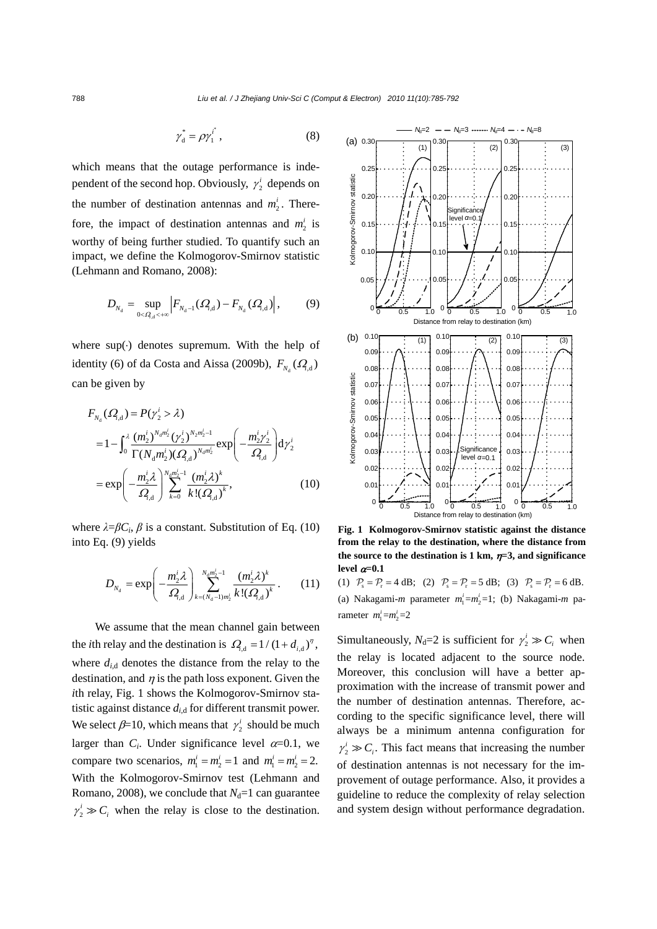$$
\gamma_{\rm d}^* = \rho \gamma_1^{i^*},\tag{8}
$$

which means that the outage performance is independent of the second hop. Obviously,  $\gamma_2^i$  depends on the number of destination antennas and  $m_2^i$ . Therefore, the impact of destination antennas and  $m_2^i$  is worthy of being further studied. To quantify such an impact, we define the Kolmogorov-Smirnov statistic (Lehmann and Romano, 2008):

$$
D_{N_{\rm d}} = \sup_{0 < Q_{\rm d} < +\infty} \left| F_{N_{\rm d}-1}(Q_{\rm d}) - F_{N_{\rm d}}(Q_{\rm d}) \right|, \tag{9}
$$

where  $sup(·)$  denotes supremum. With the help of identity (6) of da Costa and Aissa (2009b),  $F_{N_A}(Q_{d} | \mathbf{r})$ can be given by

$$
F_{N_a}(Q_{1,d}) = P(\gamma_2^i > \lambda)
$$
  
=  $1 - \int_0^{\lambda} \frac{(m_2^i)^{N_a m_2^i} (\gamma_2^i)^{N_2 m_2^i - 1}}{\Gamma(N_a m_2^i)(Q_{1,d})^{N_a m_2^i}} \exp\left(-\frac{m_2^i \gamma_2^i}{Q_{1,d}}\right) d\gamma_2^i$   
=  $\exp\left(-\frac{m_2^i \lambda}{Q_{1,d}}\right)^{N_a m_2^i - 1} \frac{(m_2^i \lambda)^k}{k!(Q_{1,d})^k},$  (10)

where  $\lambda = \beta C_i$ ,  $\beta$  is a constant. Substitution of Eq. (10) into Eq. (9) yields

$$
D_{N_d} = \exp\left(-\frac{m_2^i \lambda}{\Omega_{,d}}\right)_{k=(N_d-1)m_2^i}^{N_d m_2^i - 1} \frac{(m_2^i \lambda)^k}{k!(\Omega_{,d})^k}.
$$
 (11)

We assume that the mean channel gain between the *i*th relay and the destination is  $Q_{d} = 1/(1 + d_{i,d})^{\eta}$ , where  $d_{i,d}$  denotes the distance from the relay to the destination, and  $\eta$  is the path loss exponent. Given the *i*th relay, Fig. 1 shows the Kolmogorov-Smirnov statistic against distance *di*,d for different transmit power. We select  $\beta = 10$ , which means that  $\gamma_2^i$  should be much larger than  $C_i$ . Under significance level  $\alpha$ =0.1, we compare two scenarios,  $m_1^i = m_2^i = 1$  and  $m_1^i = m_2^i = 2$ . With the Kolmogorov-Smirnov test (Lehmann and Romano, 2008), we conclude that  $N_d=1$  can guarantee  $\gamma_2^i \gg C_i$  when the relay is close to the destination.



**Fig. 1 Kolmogorov-Smirnov statistic against the distance from the relay to the destination, where the distance from the source to the destination is 1 km,**  $\eta$ **=3, and significance** level  $\alpha$ =0.1

(1)  $P_s = P_r = 4$  dB; (2)  $P_s = P_r = 5$  dB; (3)  $P_s = P_r = 6$  dB. (a) Nakagami-*m* parameter  $m_1^i = m_2^i = 1$ ; (b) Nakagami-*m* parameter  $m_1^i = m_2^i = 2$ 

Simultaneously,  $N_d=2$  is sufficient for  $\gamma_2^i \gg C_i$  when the relay is located adjacent to the source node. Moreover, this conclusion will have a better approximation with the increase of transmit power and the number of destination antennas. Therefore, according to the specific significance level, there will always be a minimum antenna configuration for  $\gamma_2^i \gg C_i$ . This fact means that increasing the number of destination antennas is not necessary for the improvement of outage performance. Also, it provides a guideline to reduce the complexity of relay selection and system design without performance degradation.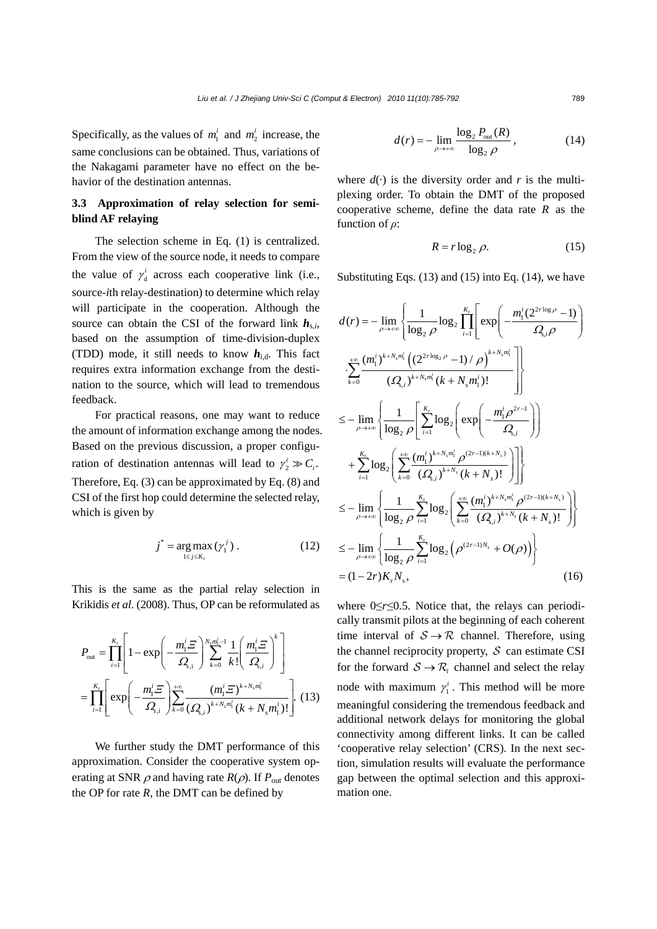Specifically, as the values of  $m_1^i$  and  $m_2^i$  increase, the same conclusions can be obtained. Thus, variations of the Nakagami parameter have no effect on the behavior of the destination antennas.

# **3.3 Approximation of relay selection for semiblind AF relaying**

The selection scheme in Eq. (1) is centralized. From the view of the source node, it needs to compare the value of  $\gamma_d^i$  across each cooperative link (i.e., source-*i*th relay-destination) to determine which relay will participate in the cooperation. Although the source can obtain the CSI of the forward link  $h_{s,i}$ , based on the assumption of time-division-duplex (TDD) mode, it still needs to know  $h_{i,d}$ . This fact requires extra information exchange from the destination to the source, which will lead to tremendous feedback.

For practical reasons, one may want to reduce the amount of information exchange among the nodes. Based on the previous discussion, a proper configuration of destination antennas will lead to  $\gamma_2^i \gg C_i$ . Therefore, Eq. (3) can be approximated by Eq. (8) and CSI of the first hop could determine the selected relay, which is given by

$$
j^* = \underset{1 \le j \le K_t}{\arg \max} (\gamma_1^j). \tag{12}
$$

This is the same as the partial relay selection in Krikidis *et al*. (2008). Thus, OP can be reformulated as

$$
P_{\text{out}} = \prod_{i=1}^{K_{\text{r}}} \left[ 1 - \exp\left( -\frac{m_{1}^{i} \varXi}{\Omega_{\text{s},i}} \right)^{N_{\text{s}} m_{1}^{i} - 1} \frac{1}{k!} \left( \frac{m_{1}^{i} \varXi}{\Omega_{\text{s},i}} \right)^{k} \right]
$$
  
= 
$$
\prod_{i=1}^{K_{\text{r}}} \left[ \exp\left( -\frac{m_{1}^{i} \varXi}{\Omega_{\text{s},i}} \right) \sum_{k=0}^{+\infty} \frac{\left( m_{1}^{i} \varXi \right)^{k+N_{\text{s}} m_{1}^{i}}}{\left( \Omega_{\text{s},i} \right)^{k+N_{\text{s}} m_{1}^{i}} \left( k+N_{\text{s}} m_{1}^{i} \right)!} \right].
$$
(13)

We further study the DMT performance of this approximation. Consider the cooperative system operating at SNR  $\rho$  and having rate  $R(\rho)$ . If  $P_{\text{out}}$  denotes the OP for rate  $R$ , the DMT can be defined by

$$
d(r) = -\lim_{\rho \to +\infty} \frac{\log_2 P_{\text{out}}(R)}{\log_2 \rho},
$$
 (14)

where  $d(\cdot)$  is the diversity order and *r* is the multiplexing order. To obtain the DMT of the proposed cooperative scheme, define the data rate *R* as the function of *ρ*:

$$
R = r \log_2 \rho. \tag{15}
$$

Substituting Eqs.  $(13)$  and  $(15)$  into Eq.  $(14)$ , we have

$$
d(r) = -\lim_{\rho \to +\infty} \left\{ \frac{1}{\log_2 \rho} \log_2 \prod_{i=1}^{K_r} \left[ \exp \left( -\frac{m_1^i (2^{2r \log \rho} - 1)}{\Omega_{s,i} \rho} \right) \right] \right\}
$$
  
\n
$$
\cdot \sum_{k=0}^{+\infty} \frac{(m_1^i)^{k+N_s m_1^i} \left( (2^{2r \log_2 \rho} - 1) / \rho \right)^{k+N_s m_1^i}}{(Q_{s,i})^{k+N_s m_1^i} (k+N_s m_1^i)!} \right\}
$$
  
\n
$$
\leq -\lim_{\rho \to +\infty} \left\{ \frac{1}{\log_2 \rho} \left[ \sum_{i=1}^{K_r} \log_2 \left( \exp \left( -\frac{m_1^i \rho^{2r-1}}{Q_{s,i}} \right) \right) \right\}
$$
  
\n
$$
+ \sum_{i=1}^{K_r} \log_2 \left( \sum_{k=0}^{+\infty} \frac{(m_1^i)^{k+N_s m_1^i} \rho^{(2r-1)(k+N_s)}}{(Q_{s,i})^{k+N_s} (k+N_s)!} \right) \right\}
$$
  
\n
$$
\leq -\lim_{\rho \to +\infty} \left\{ \frac{1}{\log_2 \rho} \sum_{i=1}^{K_r} \log_2 \left( \sum_{k=0}^{+\infty} \frac{(m_1^i)^{k+N_s m_1^i} \rho^{(2r-1)(k+N_s)}}{(Q_{s,i})^{k+N_s} (k+N_s)!} \right) \right\}
$$
  
\n
$$
\leq -\lim_{\rho \to +\infty} \left\{ \frac{1}{\log_2 \rho} \sum_{i=1}^{K_r} \log_2 \left( \rho^{(2r-1)N_s} + O(\rho) \right) \right\}
$$
  
\n
$$
= (1-2r) K_r N_s, \qquad (16)
$$

where 0≤*r*≤0.5. Notice that, the relays can periodically transmit pilots at the beginning of each coherent time interval of  $S \rightarrow \mathcal{R}$  channel. Therefore, using the channel reciprocity property,  $S$  can estimate CSI for the forward  $S \rightarrow \mathcal{R}_i$  channel and select the relay node with maximum  $\gamma_1^i$ . This method will be more meaningful considering the tremendous feedback and additional network delays for monitoring the global connectivity among different links. It can be called 'cooperative relay selection' (CRS). In the next section, simulation results will evaluate the performance gap between the optimal selection and this approximation one.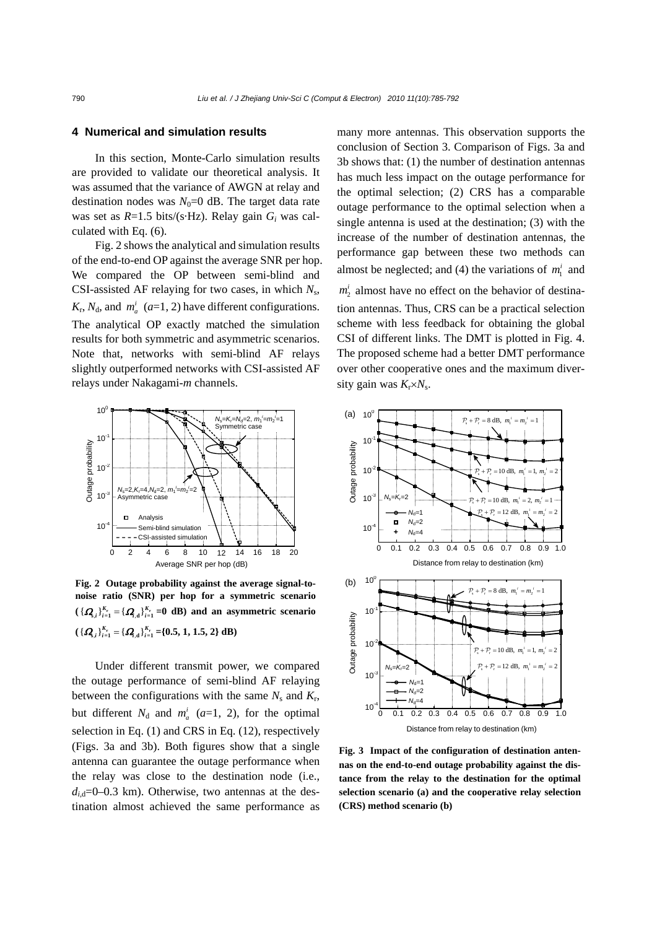#### **4 Numerical and simulation results**

In this section, Monte-Carlo simulation results are provided to validate our theoretical analysis. It was assumed that the variance of AWGN at relay and destination nodes was  $N_0=0$  dB. The target data rate was set as *R*=1.5 bits/(s·Hz). Relay gain *Gi* was calculated with Eq. (6).

Fig. 2 shows the analytical and simulation results of the end-to-end OP against the average SNR per hop. We compared the OP between semi-blind and CSI-assisted AF relaying for two cases, in which *N*s,  $K_r$ ,  $N_d$ , and  $m_a^i$  (*a*=1, 2) have different configurations. The analytical OP exactly matched the simulation results for both symmetric and asymmetric scenarios. Note that, networks with semi-blind AF relays slightly outperformed networks with CSI-assisted AF relays under Nakagami-*m* channels.



**Fig. 2 Outage probability against the average signal-tonoise ratio (SNR) per hop for a symmetric scenario**   $({\{Q_{s,i}\}}_{i=1}^{K_r} = {\{Q_{i,d}\}}_{i=1}^{K_r} = 0$  dB) and an asymmetric scenario  $\left( {\{ {\bf{Q}}_{s,i} \}}_{i=1}^{K_r} = {\{ {\bf{Q}}_{,d}\}}_{i=1}^{K_r}$  ={0.5, 1, 1.5, 2} dB)

Under different transmit power, we compared the outage performance of semi-blind AF relaying between the configurations with the same  $N_s$  and  $K_r$ , but different  $N_d$  and  $m_a^i$  (a=1, 2), for the optimal selection in Eq. (1) and CRS in Eq. (12), respectively (Figs. 3a and 3b). Both figures show that a single antenna can guarantee the outage performance when the relay was close to the destination node (i.e.,  $d_i$ <sub>d</sub>=0–0.3 km). Otherwise, two antennas at the destination almost achieved the same performance as many more antennas. This observation supports the conclusion of Section 3. Comparison of Figs. 3a and 3b shows that: (1) the number of destination antennas has much less impact on the outage performance for the optimal selection; (2) CRS has a comparable outage performance to the optimal selection when a single antenna is used at the destination; (3) with the increase of the number of destination antennas, the performance gap between these two methods can almost be neglected; and (4) the variations of  $m_1^i$  and  $m_2^i$  almost have no effect on the behavior of destination antennas. Thus, CRS can be a practical selection scheme with less feedback for obtaining the global CSI of different links. The DMT is plotted in Fig. 4. The proposed scheme had a better DMT performance over other cooperative ones and the maximum diver-



**Fig. 3 Impact of the configuration of destination antennas on the end-to-end outage probability against the distance from the relay to the destination for the optimal selection scenario (a) and the cooperative relay selection (CRS) method scenario (b)**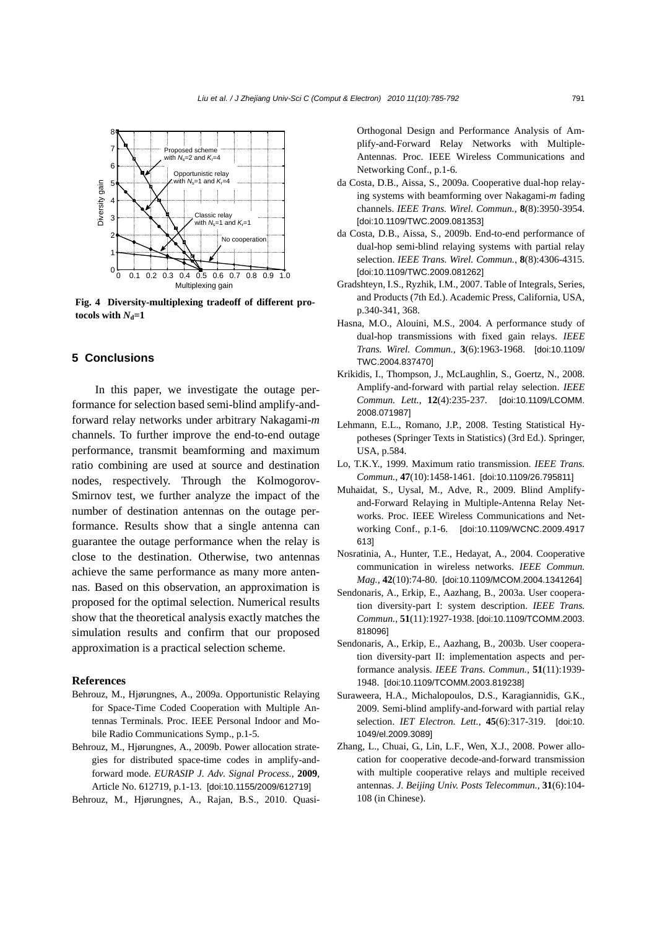

**Fig. 4 Diversity-multiplexing tradeoff of different protocols with**  $N_d=1$ 

#### **5 Conclusions**

In this paper, we investigate the outage performance for selection based semi-blind amplify-andforward relay networks under arbitrary Nakagami-*m* channels. To further improve the end-to-end outage performance, transmit beamforming and maximum ratio combining are used at source and destination nodes, respectively. Through the Kolmogorov-Smirnov test, we further analyze the impact of the number of destination antennas on the outage performance. Results show that a single antenna can guarantee the outage performance when the relay is close to the destination. Otherwise, two antennas achieve the same performance as many more antennas. Based on this observation, an approximation is proposed for the optimal selection. Numerical results show that the theoretical analysis exactly matches the simulation results and confirm that our proposed approximation is a practical selection scheme.

### **References**

- Behrouz, M., Hjørungnes, A., 2009a. Opportunistic Relaying for Space-Time Coded Cooperation with Multiple Antennas Terminals. Proc. IEEE Personal Indoor and Mobile Radio Communications Symp., p.1-5.
- Behrouz, M., Hjørungnes, A., 2009b. Power allocation strategies for distributed space-time codes in amplify-andforward mode. *EURASIP J. Adv. Signal Process.*, **2009**, Article No. 612719, p.1-13. [doi:10.1155/2009/612719]
- Behrouz, M., Hjørungnes, A., Rajan, B.S., 2010. Quasi-

Orthogonal Design and Performance Analysis of Amplify-and-Forward Relay Networks with Multiple-Antennas. Proc. IEEE Wireless Communications and Networking Conf., p.1-6.

- da Costa, D.B., Aissa, S., 2009a. Cooperative dual-hop relaying systems with beamforming over Nakagami-*m* fading channels. *IEEE Trans. Wirel. Commun.*, **8**(8):3950-3954. [doi:10.1109/TWC.2009.081353]
- da Costa, D.B., Aissa, S., 2009b. End-to-end performance of dual-hop semi-blind relaying systems with partial relay selection. *IEEE Trans. Wirel. Commun.*, **8**(8):4306-4315. [doi:10.1109/TWC.2009.081262]
- Gradshteyn, I.S., Ryzhik, I.M., 2007. Table of Integrals, Series, and Products (7th Ed.). Academic Press, California, USA, p.340-341, 368.
- Hasna, M.O., Alouini, M.S., 2004. A performance study of dual-hop transmissions with fixed gain relays. *IEEE Trans. Wirel. Commun.*, **3**(6):1963-1968. [doi:10.1109/ TWC.2004.837470]
- Krikidis, I., Thompson, J., McLaughlin, S., Goertz, N., 2008. Amplify-and-forward with partial relay selection. *IEEE Commun. Lett.*, **12**(4):235-237. [doi:10.1109/LCOMM. 2008.071987]
- Lehmann, E.L., Romano, J.P., 2008. Testing Statistical Hypotheses (Springer Texts in Statistics) (3rd Ed.). Springer, USA, p.584.
- Lo, T.K.Y., 1999. Maximum ratio transmission. *IEEE Trans. Commun.*, **47**(10):1458-1461. [doi:10.1109/26.795811]
- Muhaidat, S., Uysal, M., Adve, R., 2009. Blind Amplifyand-Forward Relaying in Multiple-Antenna Relay Networks. Proc. IEEE Wireless Communications and Networking Conf., p.1-6. [doi:10.1109/WCNC.2009.4917 613]
- Nosratinia, A., Hunter, T.E., Hedayat, A., 2004. Cooperative communication in wireless networks. *IEEE Commun. Mag.*, **42**(10):74-80. [doi:10.1109/MCOM.2004.1341264]
- Sendonaris, A., Erkip, E., Aazhang, B., 2003a. User cooperation diversity-part I: system description. *IEEE Trans. Commun.*, **51**(11):1927-1938. [doi:10.1109/TCOMM.2003. 818096]
- Sendonaris, A., Erkip, E., Aazhang, B., 2003b. User cooperation diversity-part II: implementation aspects and performance analysis. *IEEE Trans. Commun.*, **51**(11):1939- 1948. [doi:10.1109/TCOMM.2003.819238]
- Suraweera, H.A., Michalopoulos, D.S., Karagiannidis, G.K., 2009. Semi-blind amplify-and-forward with partial relay selection. *IET Electron. Lett.*, **45**(6):317-319. [doi:10. 1049/el.2009.3089]
- Zhang, L., Chuai, G., Lin, L.F., Wen, X.J., 2008. Power allocation for cooperative decode-and-forward transmission with multiple cooperative relays and multiple received antennas. *J. Beijing Univ. Posts Telecommun.*, **31**(6):104- 108 (in Chinese).